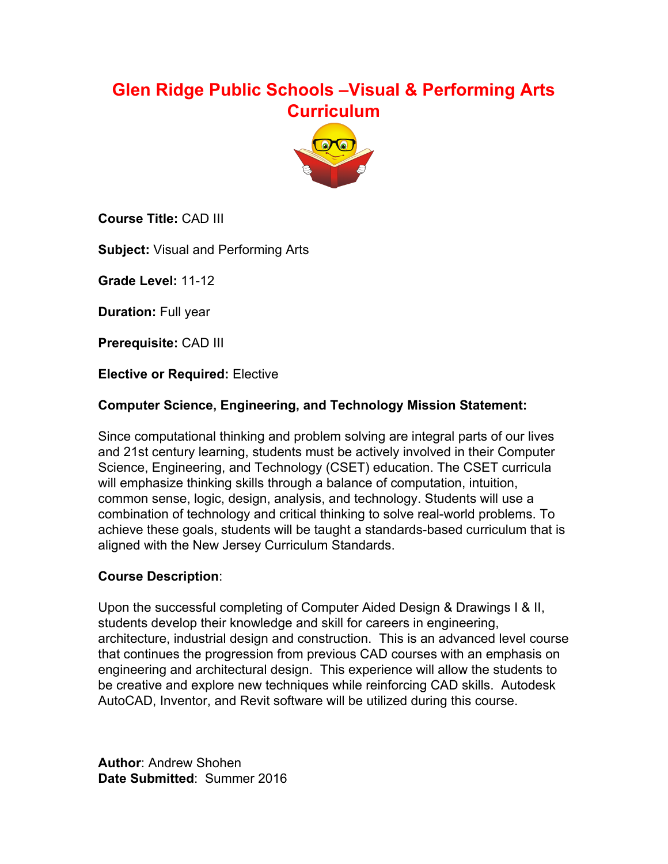# **Glen Ridge Public Schools –Visual & Performing Arts Curriculum**



**Course Title:** CAD III

**Subject:** Visual and Performing Arts

**Grade Level: 11-12** 

**Duration:** Full year

**Prerequisite:** CAD III

**Elective or Required:** Elective

### **Computer Science, Engineering, and Technology Mission Statement:**

Since computational thinking and problem solving are integral parts of our lives and 21st century learning, students must be actively involved in their Computer Science, Engineering, and Technology (CSET) education. The CSET curricula will emphasize thinking skills through a balance of computation, intuition, common sense, logic, design, analysis, and technology. Students will use a combination of technology and critical thinking to solve real-world problems. To achieve these goals, students will be taught a standards-based curriculum that is aligned with the New Jersey Curriculum Standards.

### **Course Description**:

Upon the successful completing of Computer Aided Design & Drawings I & II, students develop their knowledge and skill for careers in engineering, architecture, industrial design and construction. This is an advanced level course that continues the progression from previous CAD courses with an emphasis on engineering and architectural design. This experience will allow the students to be creative and explore new techniques while reinforcing CAD skills. Autodesk AutoCAD, Inventor, and Revit software will be utilized during this course.

**Author**: Andrew Shohen **Date Submitted**: Summer 2016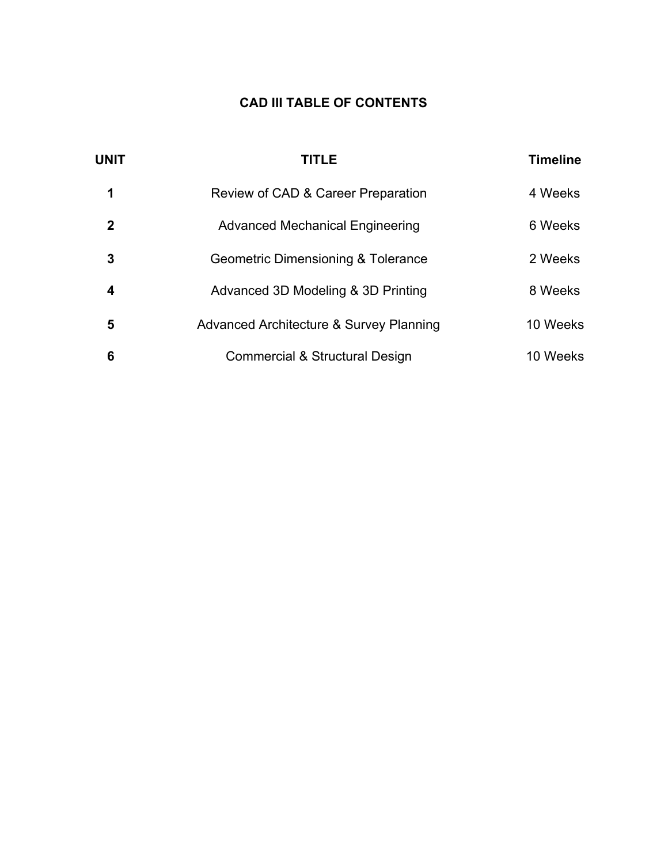# **CAD III TABLE OF CONTENTS**

| <b>UNIT</b> | <b>TITLE</b>                            | <b>Timeline</b> |
|-------------|-----------------------------------------|-----------------|
|             | Review of CAD & Career Preparation      | 4 Weeks         |
| 2           | <b>Advanced Mechanical Engineering</b>  | 6 Weeks         |
| 3           | Geometric Dimensioning & Tolerance      | 2 Weeks         |
| 4           | Advanced 3D Modeling & 3D Printing      | 8 Weeks         |
| 5           | Advanced Architecture & Survey Planning | 10 Weeks        |
| 6           | Commercial & Structural Design          | 10 Weeks        |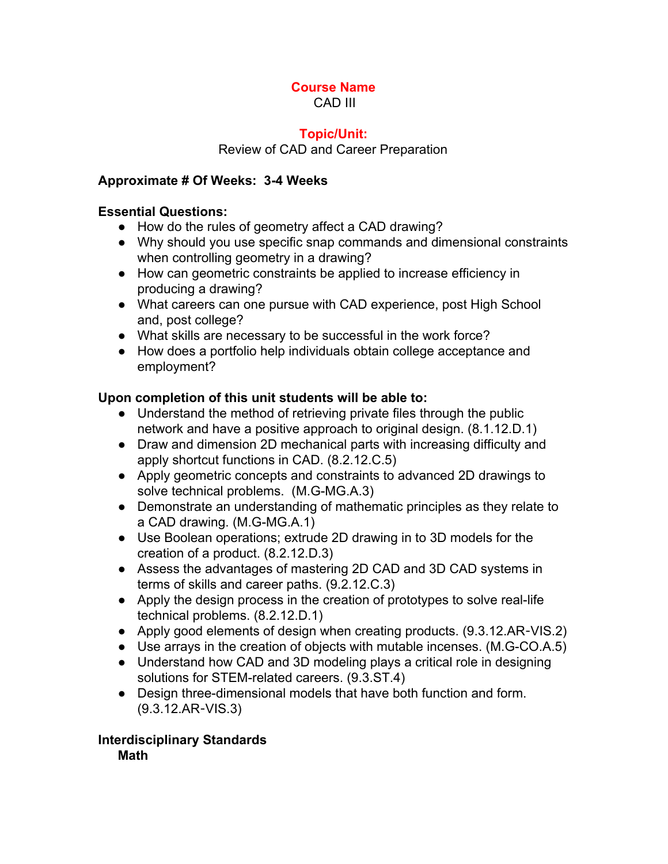#### **Course Name** CAD III

#### **Topic/Unit:**

Review of CAD and Career Preparation

### **Approximate # Of Weeks: 34 Weeks**

## **Essential Questions:**

- How do the rules of geometry affect a CAD drawing?
- Why should you use specific snap commands and dimensional constraints when controlling geometry in a drawing?
- How can geometric constraints be applied to increase efficiency in producing a drawing?
- What careers can one pursue with CAD experience, post High School and, post college?
- What skills are necessary to be successful in the work force?
- How does a portfolio help individuals obtain college acceptance and employment?

# **Upon completion of this unit students will be able to:**

- Understand the method of retrieving private files through the public network and have a positive approach to original design. (8.1.12.D.1)
- Draw and dimension 2D mechanical parts with increasing difficulty and apply shortcut functions in CAD. (8.2.12.C.5)
- Apply geometric concepts and constraints to advanced 2D drawings to solve technical problems. (M.G-MG.A.3)
- Demonstrate an understanding of mathematic principles as they relate to a CAD drawing. (M.G-MG.A.1)
- Use Boolean operations; extrude 2D drawing in to 3D models for the creation of a product. (8.2.12.D.3)
- Assess the advantages of mastering 2D CAD and 3D CAD systems in terms of skills and career paths. (9.2.12.C.3)
- Apply the design process in the creation of prototypes to solve real-life technical problems. (8.2.12.D.1)
- *●* Apply good elements of design when creating products. (9.3.12.AR‐VIS.2)
- Use arrays in the creation of objects with mutable incenses. (M.G-CO.A.5)
- *●* Understand how CAD and 3D modeling plays a critical role in designing solutions for STEM-related careers. (9.3.ST.4)
- Design three-dimensional models that have both function and form. (9.3.12.AR‐VIS.3)

#### **Interdisciplinary Standards Math**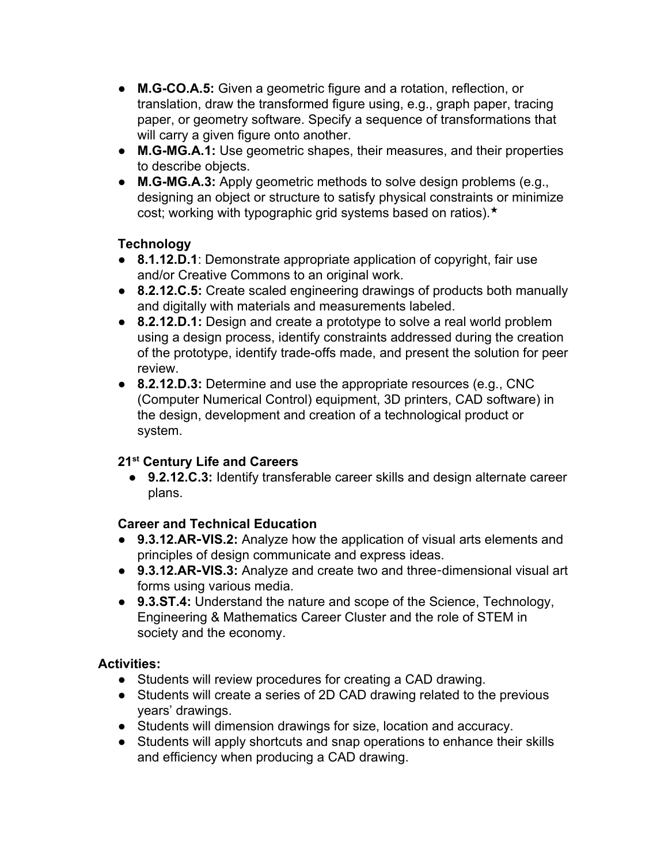- **M.G-CO.A.5:** Given a geometric figure and a rotation, reflection, or translation, draw the transformed figure using, e.g., graph paper, tracing paper, or geometry software. Specify a sequence of transformations that will carry a given figure onto another.
- M.G-MG.A.1: Use geometric shapes, their measures, and their properties to describe objects.
- **M.G-MG.A.3:** Apply geometric methods to solve design problems (e.g., designing an object or structure to satisfy physical constraints or minimize cost; working with typographic grid systems based on ratios).★

# **Technology**

- **8.1.12.D.1**: Demonstrate appropriate application of copyright, fair use and/or Creative Commons to an original work.
- **8.2.12.C.5:** Create scaled engineering drawings of products both manually and digitally with materials and measurements labeled.
- **8.2.12.D.1:** Design and create a prototype to solve a real world problem using a design process, identify constraints addressed during the creation of the prototype, identify trade-offs made, and present the solution for peer review.
- **8.2.12.D.3:** Determine and use the appropriate resources (e.g., CNC (Computer Numerical Control) equipment, 3D printers, CAD software) in the design, development and creation of a technological product or system.

# **21 st Century Life and Careers**

● **9.2.12.C.3:** Identify transferable career skills and design alternate career plans.

## **Career and Technical Education**

- **9.3.12.AR**‐**VIS.2:** Analyze how the application of visual arts elements and principles of design communicate and express ideas.
- **9.3.12.AR**‐**VIS.3:** Analyze and create two and three‐dimensional visual art forms using various media.
- **9.3.ST.4:** Understand the nature and scope of the Science, Technology, Engineering & Mathematics Career Cluster and the role of STEM in society and the economy.

### **Activities:**

- Students will review procedures for creating a CAD drawing.
- Students will create a series of 2D CAD drawing related to the previous years' drawings.
- Students will dimension drawings for size, location and accuracy.
- Students will apply shortcuts and snap operations to enhance their skills and efficiency when producing a CAD drawing.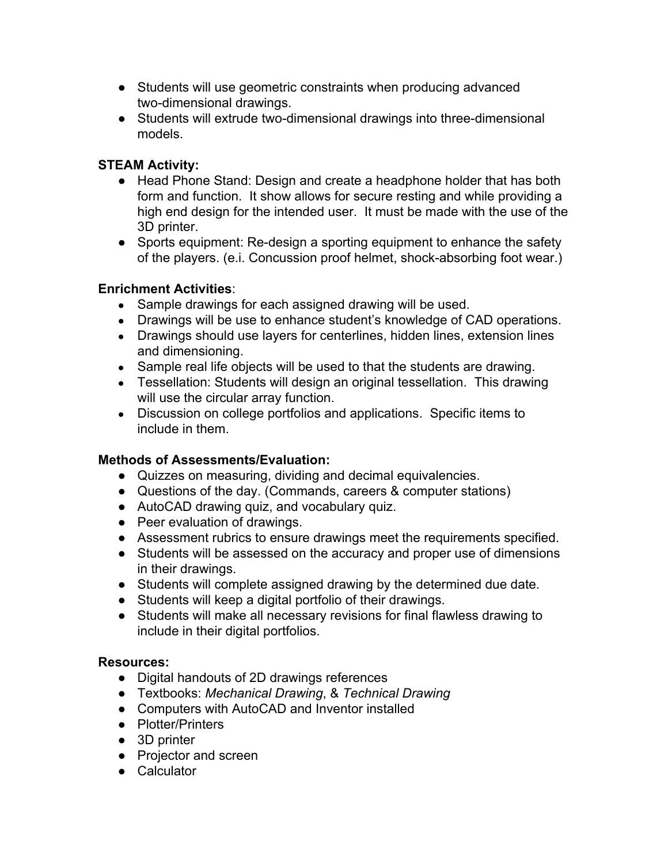- Students will use geometric constraints when producing advanced two-dimensional drawings.
- Students will extrude two-dimensional drawings into three-dimensional models.

## **STEAM Activity:**

- **●** Head Phone Stand: Design and create a headphone holder that has both form and function. It show allows for secure resting and while providing a high end design for the intended user. It must be made with the use of the 3D printer.
- **•** Sports equipment: Re-design a sporting equipment to enhance the safety of the players. (e.i. Concussion proof helmet, shock-absorbing foot wear.)

### **Enrichment Activities**:

- **●** Sample drawings for each assigned drawing will be used.
- **●** Drawings will be use to enhance student's knowledge of CAD operations.
- Drawings should use layers for centerlines, hidden lines, extension lines and dimensioning.
- Sample real life objects will be used to that the students are drawing.
- Tessellation: Students will design an original tessellation. This drawing will use the circular array function.
- Discussion on college portfolios and applications. Specific items to include in them.

### **Methods of Assessments/Evaluation:**

- Quizzes on measuring, dividing and decimal equivalencies.
- Questions of the day. (Commands, careers & computer stations)
- AutoCAD drawing quiz, and vocabulary quiz.
- Peer evaluation of drawings.
- Assessment rubrics to ensure drawings meet the requirements specified.
- **●** Students will be assessed on the accuracy and proper use of dimensions in their drawings.
- Students will complete assigned drawing by the determined due date.
- Students will keep a digital portfolio of their drawings.
- Students will make all necessary revisions for final flawless drawing to include in their digital portfolios.

### **Resources:**

- **●** Digital handouts of 2D drawings references
- **●** Textbooks: *Mechanical Drawing*, & *Technical Drawing*
- **●** Computers with AutoCAD and Inventor installed
- **●** Plotter/Printers
- **●** 3D printer
- **●** Projector and screen
- **●** Calculator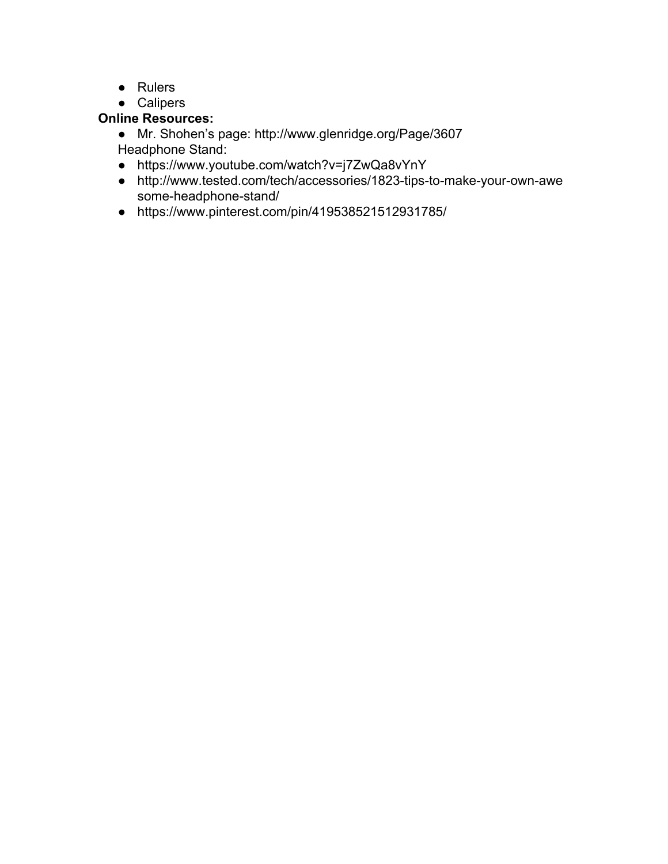- **●** Rulers
- **●** Calipers

# **Online Resources:**

● Mr. Shohen's page: http://www.glenridge.org/Page/3607 Headphone Stand:

- https://www.youtube.com/watch?v=j7ZwQa8vYnY
- http://www.tested.com/tech/accessories/1823-tips-to-make-your-own-awe some-headphone-stand/
- https://www.pinterest.com/pin/419538521512931785/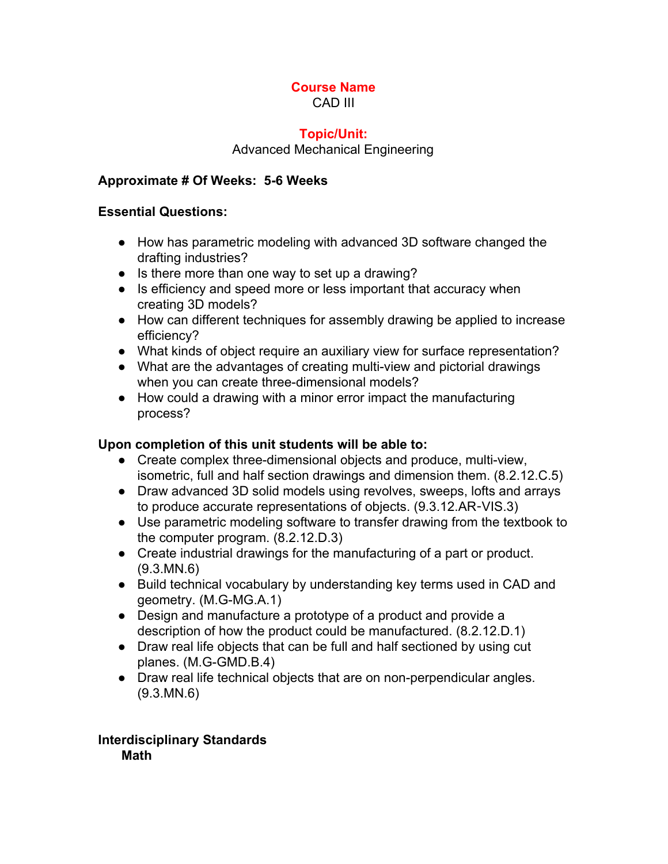#### **Course Name** CAD III

#### **Topic/Unit:**

#### Advanced Mechanical Engineering

#### **Approximate # Of Weeks: 56 Weeks**

#### **Essential Questions:**

- How has parametric modeling with advanced 3D software changed the drafting industries?
- Is there more than one way to set up a drawing?
- Is efficiency and speed more or less important that accuracy when creating 3D models?
- How can different techniques for assembly drawing be applied to increase efficiency?
- What kinds of object require an auxiliary view for surface representation?
- What are the advantages of creating multi-view and pictorial drawings when you can create three-dimensional models?
- How could a drawing with a minor error impact the manufacturing process?

### **Upon completion of this unit students will be able to:**

- $\bullet$  Create complex three-dimensional objects and produce, multi-view, isometric, full and half section drawings and dimension them. (8.2.12.C.5)
- Draw advanced 3D solid models using revolves, sweeps, lofts and arrays to produce accurate representations of objects. (9.3.12.AR‐VIS.3)
- Use parametric modeling software to transfer drawing from the textbook to the computer program. (8.2.12.D.3)
- Create industrial drawings for the manufacturing of a part or product. (9.3.MN.6)
- Build technical vocabulary by understanding key terms used in CAD and geometry. (M.G-MG.A.1)
- Design and manufacture a prototype of a product and provide a description of how the product could be manufactured. (8.2.12.D.1)
- Draw real life objects that can be full and half sectioned by using cut planes. (M.G-GMD.B.4)
- Draw real life technical objects that are on non-perpendicular angles. (9.3.MN.6)

#### **Interdisciplinary Standards Math**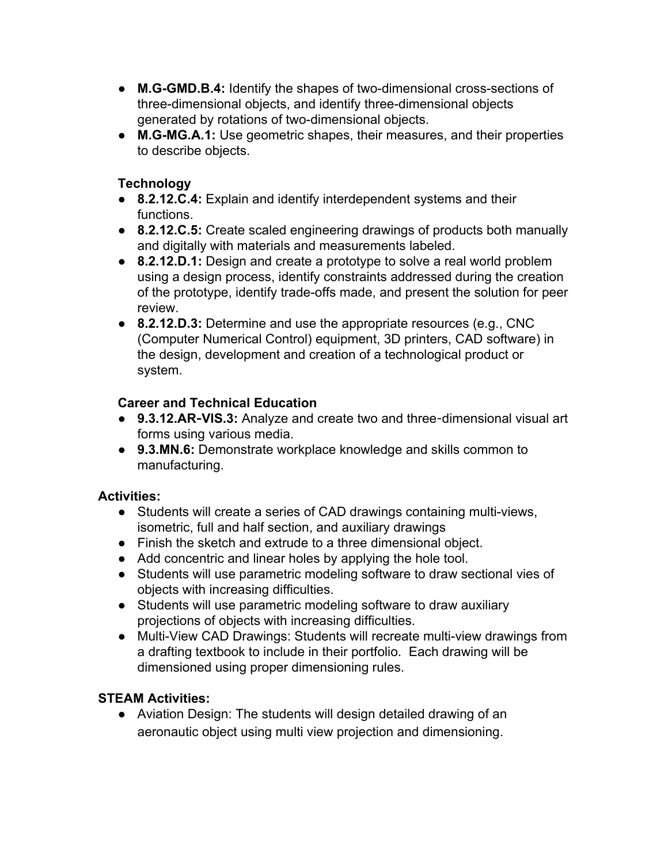- M.G-GMD.B.4: Identify the shapes of two-dimensional cross-sections of three-dimensional objects, and identify three-dimensional objects generated by rotations of two-dimensional objects.
- M.G-MG.A.1: Use geometric shapes, their measures, and their properties to describe objects.

# **Technology**

- **8.2.12.C.4:** Explain and identify interdependent systems and their functions.
- **8.2.12.C.5:** Create scaled engineering drawings of products both manually and digitally with materials and measurements labeled.
- **8.2.12.D.1:** Design and create a prototype to solve a real world problem using a design process, identify constraints addressed during the creation of the prototype, identify trade-offs made, and present the solution for peer review.
- **8.2.12.D.3:** Determine and use the appropriate resources (e.g., CNC (Computer Numerical Control) equipment, 3D printers, CAD software) in the design, development and creation of a technological product or system.

# **Career and Technical Education**

- **9.3.12.AR**‐**VIS.3:** Analyze and create two and three‐dimensional visual art forms using various media.
- **9.3.MN.6:** Demonstrate workplace knowledge and skills common to manufacturing.

# **Activities:**

- Students will create a series of CAD drawings containing multi-views, isometric, full and half section, and auxiliary drawings
- Finish the sketch and extrude to a three dimensional object.
- Add concentric and linear holes by applying the hole tool.
- Students will use parametric modeling software to draw sectional vies of objects with increasing difficulties.
- Students will use parametric modeling software to draw auxiliary projections of objects with increasing difficulties.
- Multi-View CAD Drawings: Students will recreate multi-view drawings from a drafting textbook to include in their portfolio. Each drawing will be dimensioned using proper dimensioning rules.

# **STEAM Activities:**

**●** Aviation Design: The students will design detailed drawing of an aeronautic object using multi view projection and dimensioning.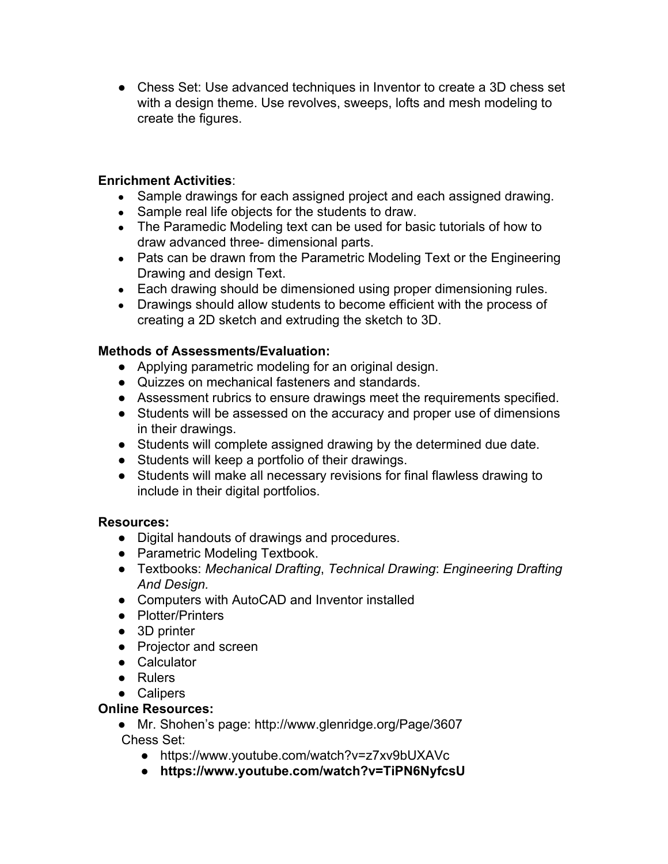● Chess Set: Use advanced techniques in Inventor to create a 3D chess set with a design theme. Use revolves, sweeps, lofts and mesh modeling to create the figures.

#### **Enrichment Activities**:

- Sample drawings for each assigned project and each assigned drawing.
- Sample real life objects for the students to draw.
- The Paramedic Modeling text can be used for basic tutorials of how to draw advanced three- dimensional parts.
- Pats can be drawn from the Parametric Modeling Text or the Engineering Drawing and design Text.
- Each drawing should be dimensioned using proper dimensioning rules.
- Drawings should allow students to become efficient with the process of creating a 2D sketch and extruding the sketch to 3D.

#### **Methods of Assessments/Evaluation:**

- Applying parametric modeling for an original design.
- Quizzes on mechanical fasteners and standards.
- Assessment rubrics to ensure drawings meet the requirements specified.
- **●** Students will be assessed on the accuracy and proper use of dimensions in their drawings.
- Students will complete assigned drawing by the determined due date.
- Students will keep a portfolio of their drawings.
- Students will make all necessary revisions for final flawless drawing to include in their digital portfolios.

#### **Resources:**

- **●** Digital handouts of drawings and procedures.
- **●** Parametric Modeling Textbook.
- **●** Textbooks: *Mechanical Drafting*, *Technical Drawing*: *Engineering Drafting And Design.*
- **●** Computers with AutoCAD and Inventor installed
- **●** Plotter/Printers
- **●** 3D printer
- **●** Projector and screen
- **●** Calculator
- **●** Rulers
- **●** Calipers

### **Online Resources:**

- Mr. Shohen's page: http://www.glenridge.org/Page/3607 Chess Set:
	- **●** https://www.youtube.com/watch?v=z7xv9bUXAVc
	- **● https://www.youtube.com/watch?v=TiPN6NyfcsU**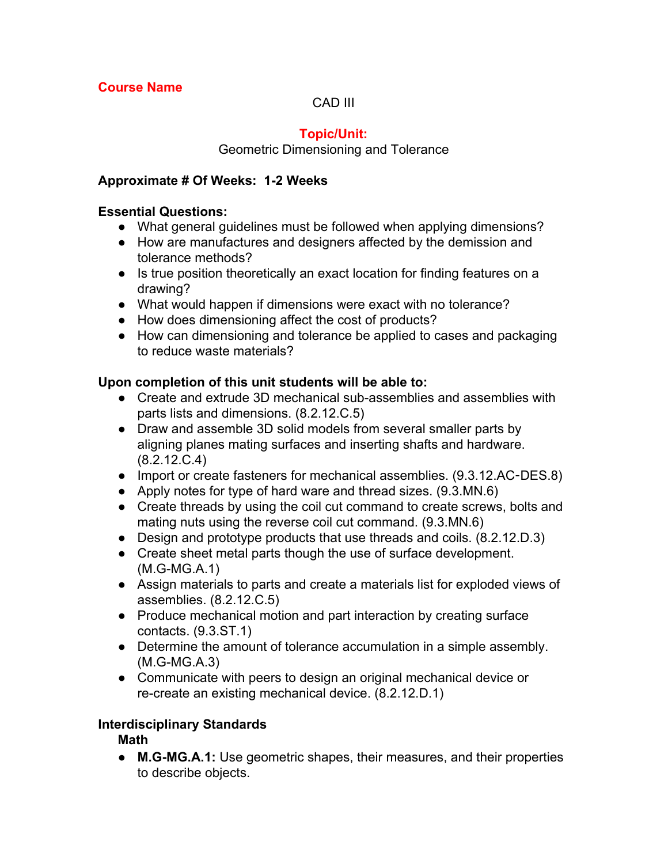## CAD III

# **Topic/Unit:**

Geometric Dimensioning and Tolerance

#### **Approximate # Of Weeks: 12 Weeks**

#### **Essential Questions:**

- What general guidelines must be followed when applying dimensions?
- How are manufactures and designers affected by the demission and tolerance methods?
- Is true position theoretically an exact location for finding features on a drawing?
- What would happen if dimensions were exact with no tolerance?
- How does dimensioning affect the cost of products?
- How can dimensioning and tolerance be applied to cases and packaging to reduce waste materials?

### **Upon completion of this unit students will be able to:**

- Create and extrude 3D mechanical sub-assemblies and assemblies with parts lists and dimensions. (8.2.12.C.5)
- Draw and assemble 3D solid models from several smaller parts by aligning planes mating surfaces and inserting shafts and hardware. (8.2.12.C.4)
- Import or create fasteners for mechanical assemblies. (9.3.12.AC-DES.8)
- Apply notes for type of hard ware and thread sizes. (9.3.MN.6)
- Create threads by using the coil cut command to create screws, bolts and mating nuts using the reverse coil cut command. (9.3.MN.6)
- Design and prototype products that use threads and coils. (8.2.12.D.3)
- Create sheet metal parts though the use of surface development.  $(M.G-MG.A.1)$
- Assign materials to parts and create a materials list for exploded views of assemblies. (8.2.12.C.5)
- Produce mechanical motion and part interaction by creating surface contacts. (9.3.ST.1)
- Determine the amount of tolerance accumulation in a simple assembly.  $(M.G-MG.A.3)$
- Communicate with peers to design an original mechanical device or re-create an existing mechanical device. (8.2.12.D.1)

### **Interdisciplinary Standards**

### **Math**

• M.G-MG.A.1: Use geometric shapes, their measures, and their properties to describe objects.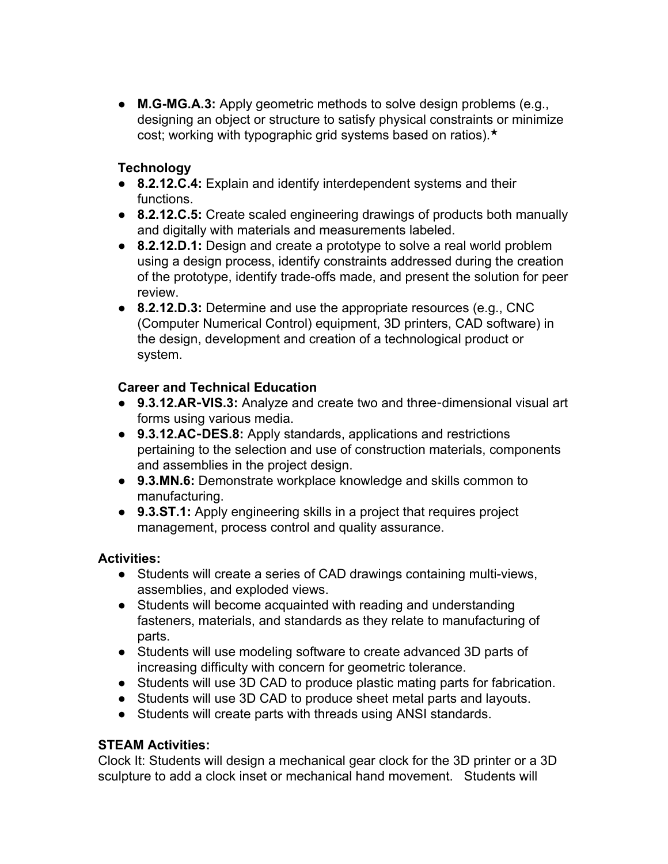● **M.G-MG.A.3:** Apply geometric methods to solve design problems (e.g., designing an object or structure to satisfy physical constraints or minimize cost; working with typographic grid systems based on ratios).★

## **Technology**

- **8.2.12.C.4:** Explain and identify interdependent systems and their functions.
- **8.2.12.C.5:** Create scaled engineering drawings of products both manually and digitally with materials and measurements labeled.
- **8.2.12.D.1:** Design and create a prototype to solve a real world problem using a design process, identify constraints addressed during the creation of the prototype, identify trade-offs made, and present the solution for peer review.
- **8.2.12.D.3:** Determine and use the appropriate resources (e.g., CNC (Computer Numerical Control) equipment, 3D printers, CAD software) in the design, development and creation of a technological product or system.

### **Career and Technical Education**

- 9.3.12.AR-VIS.3: Analyze and create two and three-dimensional visual art forms using various media.
- **9.3.12.AC**‐**DES.8:** Apply standards, applications and restrictions pertaining to the selection and use of construction materials, components and assemblies in the project design.
- **9.3.MN.6:** Demonstrate workplace knowledge and skills common to manufacturing.
- **9.3.ST.1:** Apply engineering skills in a project that requires project management, process control and quality assurance.

### **Activities:**

- Students will create a series of CAD drawings containing multi-views, assemblies, and exploded views.
- Students will become acquainted with reading and understanding fasteners, materials, and standards as they relate to manufacturing of parts.
- Students will use modeling software to create advanced 3D parts of increasing difficulty with concern for geometric tolerance.
- Students will use 3D CAD to produce plastic mating parts for fabrication.
- Students will use 3D CAD to produce sheet metal parts and layouts.
- Students will create parts with threads using ANSI standards.

# **STEAM Activities:**

Clock It: Students will design a mechanical gear clock for the 3D printer or a 3D sculpture to add a clock inset or mechanical hand movement. Students will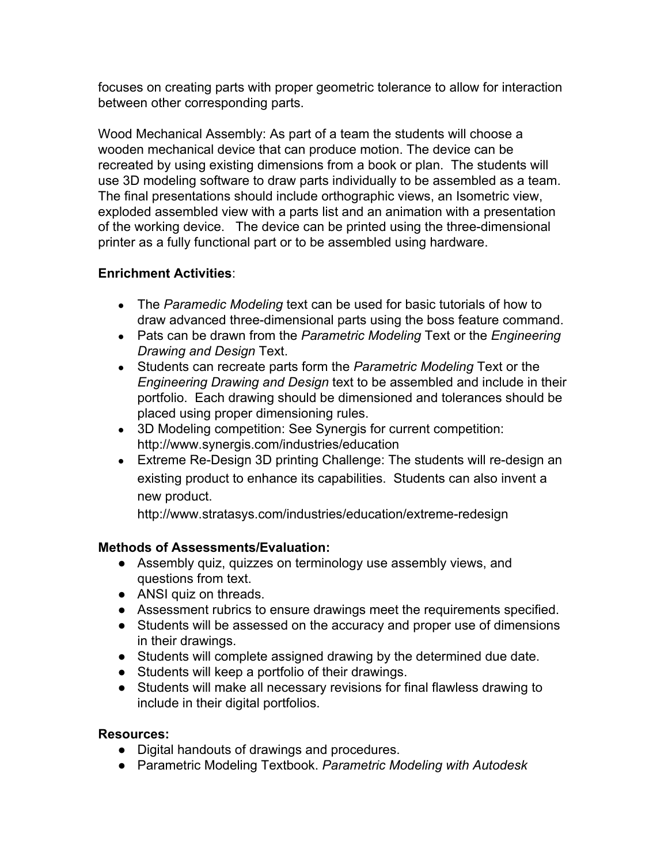focuses on creating parts with proper geometric tolerance to allow for interaction between other corresponding parts.

Wood Mechanical Assembly: As part of a team the students will choose a wooden mechanical device that can produce motion. The device can be recreated by using existing dimensions from a book or plan. The students will use 3D modeling software to draw parts individually to be assembled as a team. The final presentations should include orthographic views, an Isometric view, exploded assembled view with a parts list and an animation with a presentation of the working device. The device can be printed using the three-dimensional printer as a fully functional part or to be assembled using hardware.

### **Enrichment Activities**:

- The *Paramedic Modeling* text can be used for basic tutorials of how to draw advanced three-dimensional parts using the boss feature command.
- Pats can be drawn from the *Parametric Modeling* Text or the *Engineering Drawing and Design* Text.
- Students can recreate parts form the *Parametric Modeling* Text or the *Engineering Drawing and Design* text to be assembled and include in their portfolio. Each drawing should be dimensioned and tolerances should be placed using proper dimensioning rules.
- 3D Modeling competition: See Synergis for current competition: http://www.synergis.com/industries/education
- Extreme Re-Design 3D printing Challenge: The students will re-design an existing product to enhance its capabilities. Students can also invent a new product.

http://www.stratasys.com/industries/education/extreme-redesign

### **Methods of Assessments/Evaluation:**

- **●** Assembly quiz, quizzes on terminology use assembly views, and questions from text.
- ANSI quiz on threads.
- Assessment rubrics to ensure drawings meet the requirements specified.
- **●** Students will be assessed on the accuracy and proper use of dimensions in their drawings.
- Students will complete assigned drawing by the determined due date.
- Students will keep a portfolio of their drawings.
- Students will make all necessary revisions for final flawless drawing to include in their digital portfolios.

#### **Resources:**

- **●** Digital handouts of drawings and procedures.
- **●** Parametric Modeling Textbook. *Parametric Modeling with Autodesk*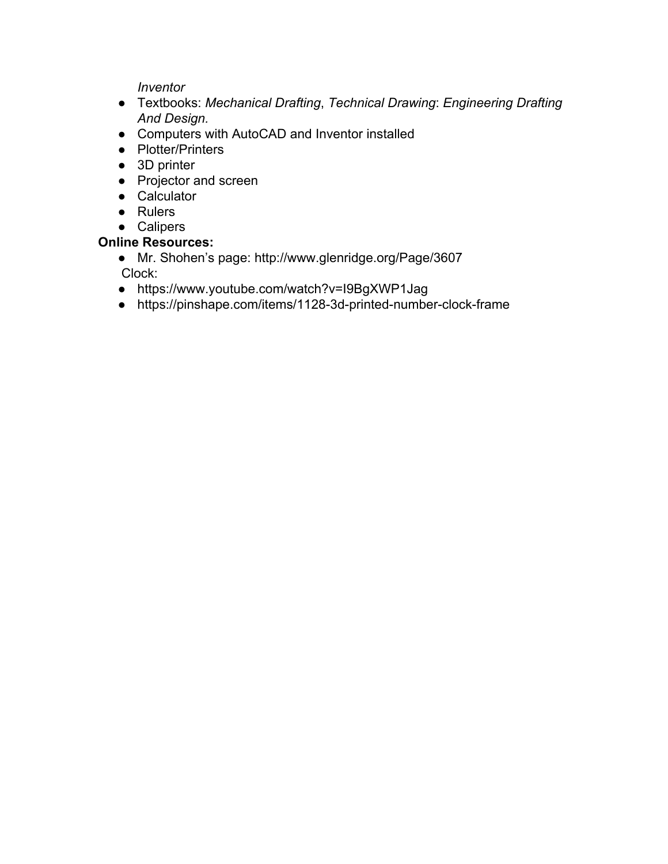*Inventor*

- **●** Textbooks: *Mechanical Drafting*, *Technical Drawing*: *Engineering Drafting And Design.*
- **●** Computers with AutoCAD and Inventor installed
- **●** Plotter/Printers
- **●** 3D printer
- **●** Projector and screen
- **●** Calculator
- **●** Rulers
- **●** Calipers

# **Online Resources:**

- Mr. Shohen's page: http://www.glenridge.org/Page/3607 Clock:
- https://www.youtube.com/watch?v=I9BgXWP1Jag
- https://pinshape.com/items/1128-3d-printed-number-clock-frame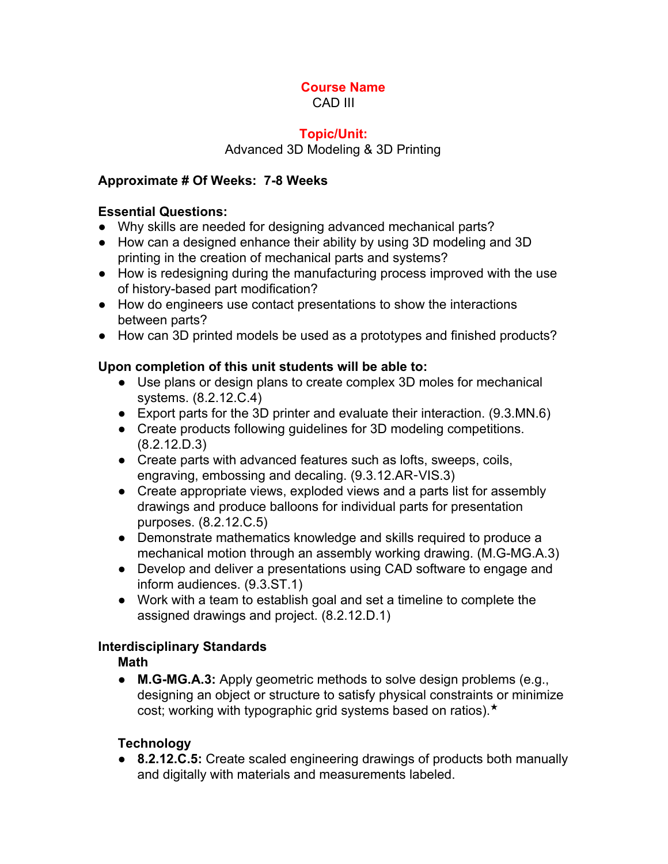#### **Course Name** CAD III

# **Topic/Unit:**

# Advanced 3D Modeling & 3D Printing

## **Approximate # Of Weeks: 78 Weeks**

## **Essential Questions:**

- Why skills are needed for designing advanced mechanical parts?
- How can a designed enhance their ability by using 3D modeling and 3D printing in the creation of mechanical parts and systems?
- How is redesigning during the manufacturing process improved with the use of history-based part modification?
- How do engineers use contact presentations to show the interactions between parts?
- How can 3D printed models be used as a prototypes and finished products?

# **Upon completion of this unit students will be able to:**

- Use plans or design plans to create complex 3D moles for mechanical systems. (8.2.12.C.4)
- Export parts for the 3D printer and evaluate their interaction. (9.3.MN.6)
- Create products following guidelines for 3D modeling competitions. (8.2.12.D.3)
- Create parts with advanced features such as lofts, sweeps, coils, engraving, embossing and decaling. (9.3.12.AR‐VIS.3)
- Create appropriate views, exploded views and a parts list for assembly drawings and produce balloons for individual parts for presentation purposes. (8.2.12.C.5)
- Demonstrate mathematics knowledge and skills required to produce a mechanical motion through an assembly working drawing. (M.G-MG.A.3)
- Develop and deliver a presentations using CAD software to engage and inform audiences. (9.3.ST.1)
- Work with a team to establish goal and set a timeline to complete the assigned drawings and project. (8.2.12.D.1)

# **Interdisciplinary Standards**

# **Math**

● **M.G-MG.A.3:** Apply geometric methods to solve design problems (e.g., designing an object or structure to satisfy physical constraints or minimize cost; working with typographic grid systems based on ratios).★

# **Technology**

● **8.2.12.C.5:** Create scaled engineering drawings of products both manually and digitally with materials and measurements labeled.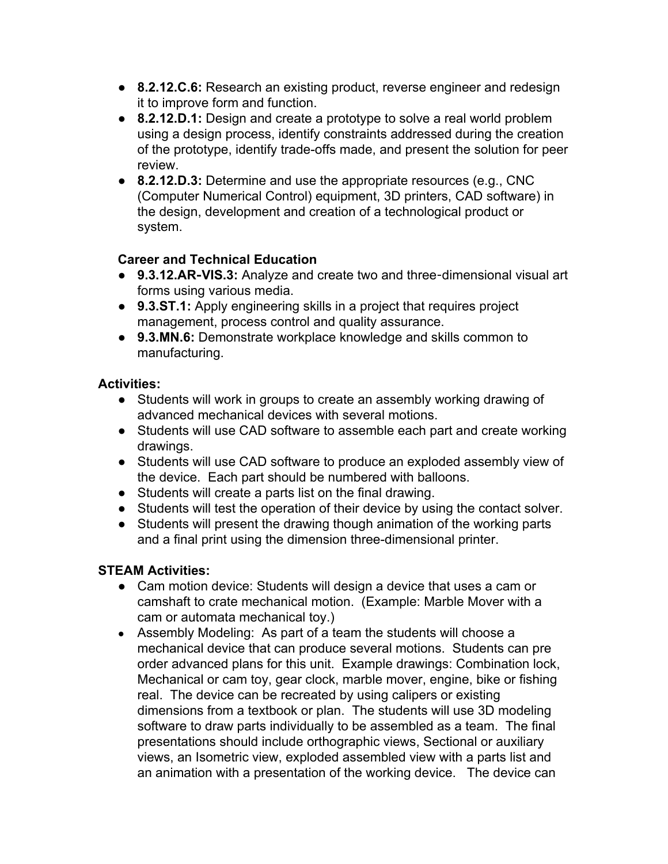- **8.2.12.C.6:** Research an existing product, reverse engineer and redesign it to improve form and function.
- **8.2.12.D.1:** Design and create a prototype to solve a real world problem using a design process, identify constraints addressed during the creation of the prototype, identify trade-offs made, and present the solution for peer review.
- **8.2.12.D.3:** Determine and use the appropriate resources (e.g., CNC (Computer Numerical Control) equipment, 3D printers, CAD software) in the design, development and creation of a technological product or system.

# **Career and Technical Education**

- **9.3.12.AR**‐**VIS.3:** Analyze and create two and three‐dimensional visual art forms using various media.
- **9.3.ST.1:** Apply engineering skills in a project that requires project management, process control and quality assurance.
- **9.3.MN.6:** Demonstrate workplace knowledge and skills common to manufacturing.

# **Activities:**

- Students will work in groups to create an assembly working drawing of advanced mechanical devices with several motions.
- **●** Students will use CAD software to assemble each part and create working drawings.
- **●** Students will use CAD software to produce an exploded assembly view of the device. Each part should be numbered with balloons.
- **●** Students will create a parts list on the final drawing.
- **●** Students will test the operation of their device by using the contact solver.
- **●** Students will present the drawing though animation of the working parts and a final print using the dimension three-dimensional printer.

# **STEAM Activities:**

- Cam motion device: Students will design a device that uses a cam or camshaft to crate mechanical motion. (Example: Marble Mover with a cam or automata mechanical toy.)
- **●** Assembly Modeling: As part of a team the students will choose a mechanical device that can produce several motions. Students can pre order advanced plans for this unit. Example drawings: Combination lock, Mechanical or cam toy, gear clock, marble mover, engine, bike or fishing real.The device can be recreated by using calipers or existing dimensions from a textbook or plan. The students will use 3D modeling software to draw parts individually to be assembled as a team. The final presentations should include orthographic views, Sectional or auxiliary views, an Isometric view, exploded assembled view with a parts list and an animation with a presentation of the working device. The device can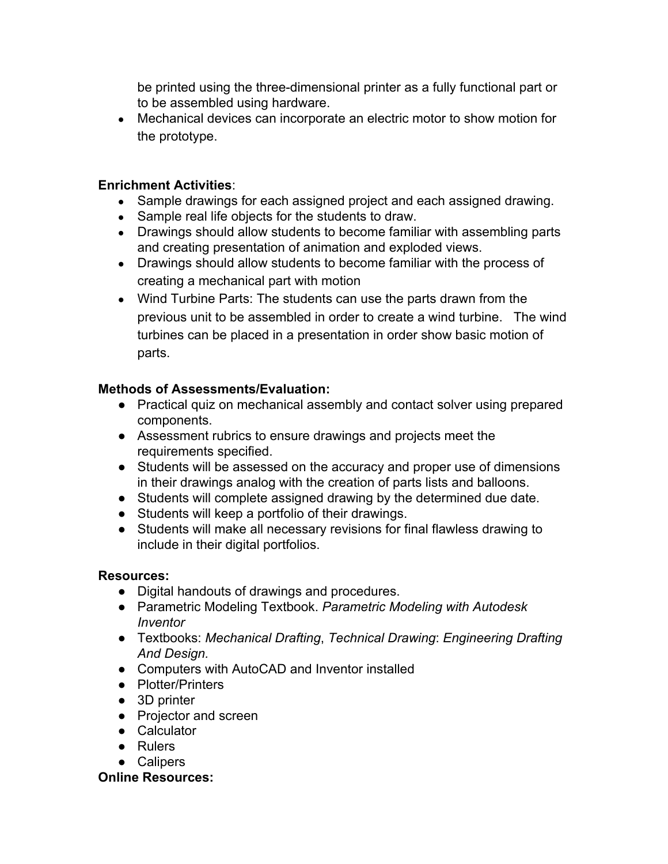be printed using the three-dimensional printer as a fully functional part or to be assembled using hardware.

• Mechanical devices can incorporate an electric motor to show motion for the prototype.

#### **Enrichment Activities**:

- Sample drawings for each assigned project and each assigned drawing.
- Sample real life objects for the students to draw.
- Drawings should allow students to become familiar with assembling parts and creating presentation of animation and exploded views.
- **●** Drawings should allow students to become familiar with the process of creating a mechanical part with motion
- **●** Wind Turbine Parts: The students can use the parts drawn from the previous unit to be assembled in order to create a wind turbine. The wind turbines can be placed in a presentation in order show basic motion of parts.

### **Methods of Assessments/Evaluation:**

- **●** Practical quiz on mechanical assembly and contact solver using prepared components.
- Assessment rubrics to ensure drawings and projects meet the requirements specified.
- **●** Students will be assessed on the accuracy and proper use of dimensions in their drawings analog with the creation of parts lists and balloons.
- Students will complete assigned drawing by the determined due date.
- Students will keep a portfolio of their drawings.
- Students will make all necessary revisions for final flawless drawing to include in their digital portfolios.

### **Resources:**

- **●** Digital handouts of drawings and procedures.
- **●** Parametric Modeling Textbook. *Parametric Modeling with Autodesk Inventor*
- **●** Textbooks: *Mechanical Drafting*, *Technical Drawing*: *Engineering Drafting And Design.*
- **●** Computers with AutoCAD and Inventor installed
- **●** Plotter/Printers
- **●** 3D printer
- **●** Projector and screen
- **●** Calculator
- **●** Rulers
- **●** Calipers

#### **Online Resources:**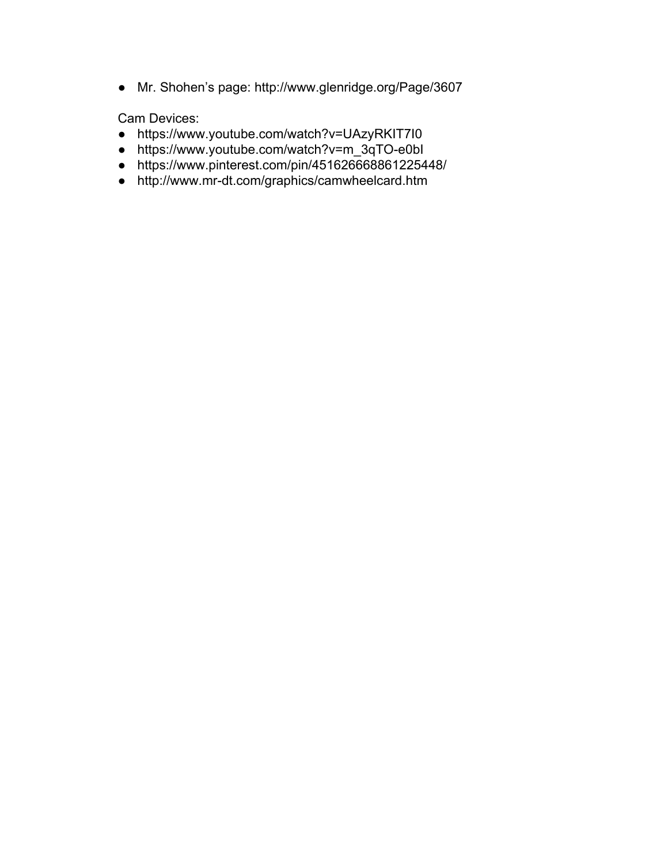● Mr. Shohen's page: http://www.glenridge.org/Page/3607

Cam Devices:

- https://www.youtube.com/watch?v=UAzyRKIT7I0
- https://www.youtube.com/watch?v=m\_3qTO-e0bl
- https://www.pinterest.com/pin/451626668861225448/
- http://www.mr-dt.com/graphics/camwheelcard.htm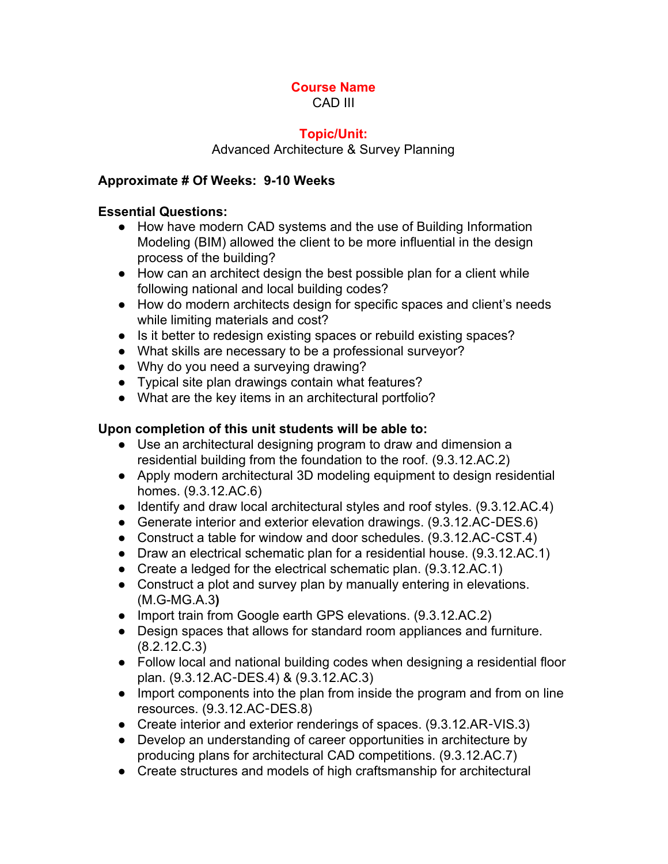#### **Course Name** CAD III

#### **Topic/Unit:**

Advanced Architecture & Survey Planning

### **Approximate # Of Weeks: 910 Weeks**

#### **Essential Questions:**

- How have modern CAD systems and the use of Building Information Modeling (BIM) allowed the client to be more influential in the design process of the building?
- How can an architect design the best possible plan for a client while following national and local building codes?
- How do modern architects design for specific spaces and client's needs while limiting materials and cost?
- Is it better to redesign existing spaces or rebuild existing spaces?
- What skills are necessary to be a professional surveyor?
- Why do you need a surveying drawing?
- Typical site plan drawings contain what features?
- What are the key items in an architectural portfolio?

### **Upon completion of this unit students will be able to:**

- Use an architectural designing program to draw and dimension a residential building from the foundation to the roof. (9.3.12.AC.2)
- Apply modern architectural 3D modeling equipment to design residential homes. (9.3.12.AC.6)
- Identify and draw local architectural styles and roof styles. (9.3.12.AC.4)
- Generate interior and exterior elevation drawings. (9.3.12.AC-DES.6)
- Construct a table for window and door schedules. (9.3.12.AC-CST.4)
- Draw an electrical schematic plan for a residential house. (9.3.12.AC.1)
- Create a ledged for the electrical schematic plan. (9.3.12.AC.1)
- Construct a plot and survey plan by manually entering in elevations. (M.GMG.A.3**)**
- Import train from Google earth GPS elevations. (9.3.12.AC.2)
- Design spaces that allows for standard room appliances and furniture. (8.2.12.C.3)
- Follow local and national building codes when designing a residential floor plan. (9.3.12.AC‐DES.4) & (9.3.12.AC.3)
- Import components into the plan from inside the program and from on line resources. (9.3.12.AC‐DES.8)
- Create interior and exterior renderings of spaces. (9.3.12.AR-VIS.3)
- Develop an understanding of career opportunities in architecture by producing plans for architectural CAD competitions. (9.3.12.AC.7)
- Create structures and models of high craftsmanship for architectural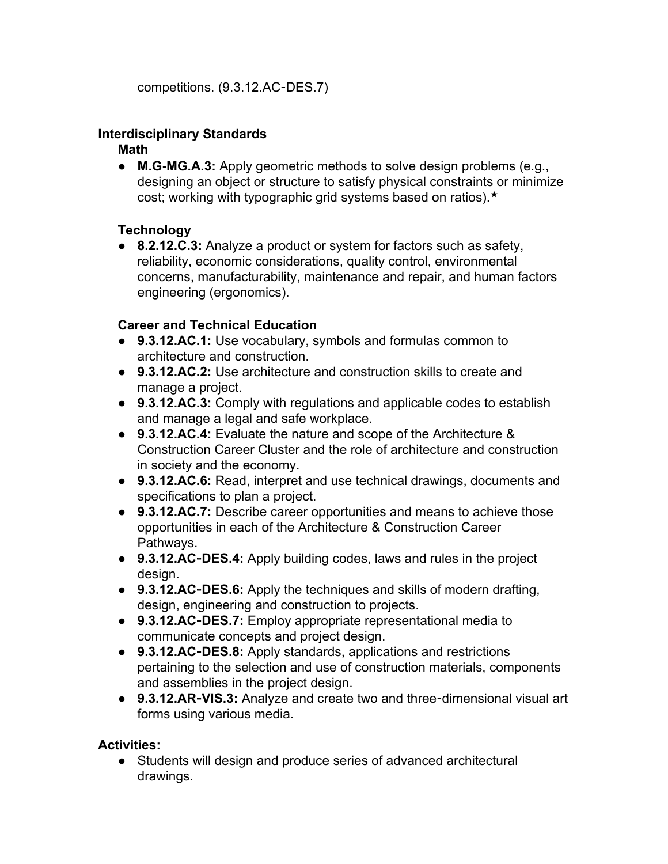competitions. (9.3.12.AC‐DES.7)

#### **Interdisciplinary Standards**

#### **Math**

• **M.G-MG.A.3:** Apply geometric methods to solve design problems (e.g., designing an object or structure to satisfy physical constraints or minimize cost; working with typographic grid systems based on ratios).★

# **Technology**

● **8.2.12.C.3:** Analyze a product or system for factors such as safety, reliability, economic considerations, quality control, environmental concerns, manufacturability, maintenance and repair, and human factors engineering (ergonomics).

### **Career and Technical Education**

- **9.3.12.AC.1:** Use vocabulary, symbols and formulas common to architecture and construction.
- **9.3.12.AC.2:** Use architecture and construction skills to create and manage a project.
- **9.3.12.AC.3:** Comply with regulations and applicable codes to establish and manage a legal and safe workplace.
- **9.3.12.AC.4:** Evaluate the nature and scope of the Architecture & Construction Career Cluster and the role of architecture and construction in society and the economy.
- **9.3.12.AC.6:** Read, interpret and use technical drawings, documents and specifications to plan a project.
- **9.3.12.AC.7:** Describe career opportunities and means to achieve those opportunities in each of the Architecture & Construction Career Pathways.
- **9.3.12.AC**‐**DES.4:** Apply building codes, laws and rules in the project design.
- **9.3.12.AC**‐**DES.6:** Apply the techniques and skills of modern drafting, design, engineering and construction to projects.
- **9.3.12.AC**‐**DES.7:** Employ appropriate representational media to communicate concepts and project design.
- 9.3.12.AC-DES.8: Apply standards, applications and restrictions pertaining to the selection and use of construction materials, components and assemblies in the project design.
- 9.3.12.AR-VIS.3: Analyze and create two and three-dimensional visual art forms using various media.

### **Activities:**

● Students will design and produce series of advanced architectural drawings.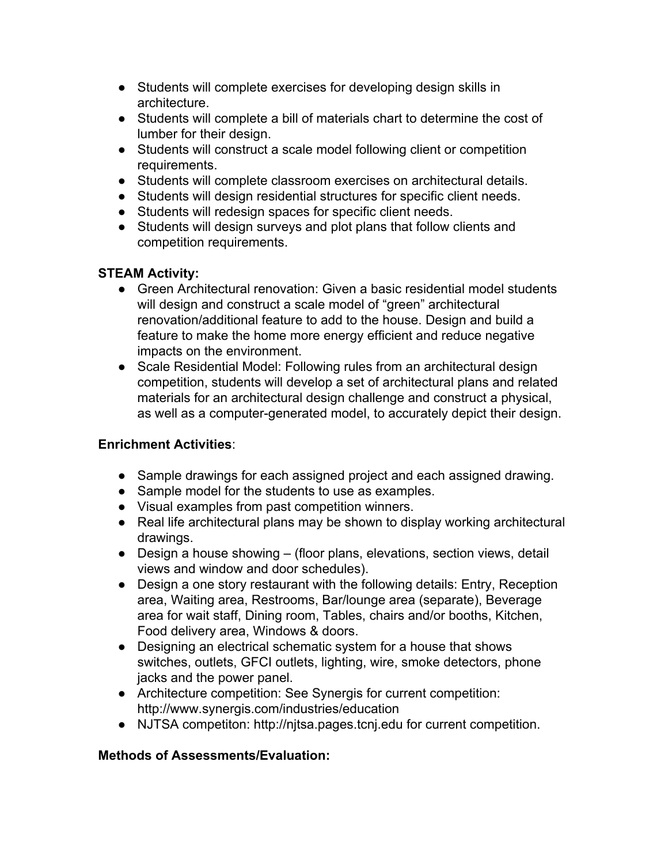- Students will complete exercises for developing design skills in architecture.
- Students will complete a bill of materials chart to determine the cost of lumber for their design.
- Students will construct a scale model following client or competition requirements.
- Students will complete classroom exercises on architectural details.
- Students will design residential structures for specific client needs.
- Students will redesign spaces for specific client needs.
- Students will design surveys and plot plans that follow clients and competition requirements.

### **STEAM Activity:**

- Green Architectural renovation: Given a basic residential model students will design and construct a scale model of "green" architectural renovation/additional feature to add to the house. Design and build a feature to make the home more energy efficient and reduce negative impacts on the environment.
- Scale Residential Model: Following rules from an architectural design competition, students will develop a set of architectural plans and related materials for an architectural design challenge and construct a physical, as well as a computer-generated model, to accurately depict their design.

### **Enrichment Activities**:

- Sample drawings for each assigned project and each assigned drawing.
- Sample model for the students to use as examples.
- Visual examples from past competition winners.
- **●** Real life architectural plans may be shown to display working architectural drawings.
- Design a house showing (floor plans, elevations, section views, detail views and window and door schedules).
- Design a one story restaurant with the following details: Entry, Reception area, Waiting area, Restrooms, Bar/lounge area (separate), Beverage area for wait staff, Dining room, Tables, chairs and/or booths, Kitchen, Food delivery area, Windows & doors.
- Designing an electrical schematic system for a house that shows switches, outlets, GFCI outlets, lighting, wire, smoke detectors, phone jacks and the power panel.
- Architecture competition: See Synergis for current competition: http://www.synergis.com/industries/education
- NJTSA competiton: http://njtsa.pages.tcnj.edu for current competition.

### **Methods of Assessments/Evaluation:**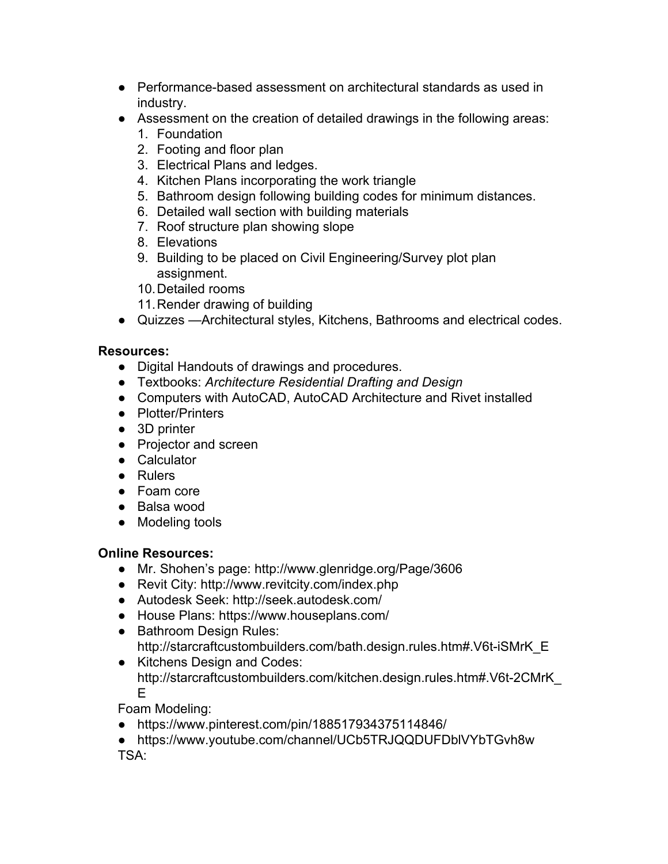- Performance-based assessment on architectural standards as used in industry.
- Assessment on the creation of detailed drawings in the following areas:
	- 1. Foundation
	- 2. Footing and floor plan
	- 3. Electrical Plans and ledges.
	- 4. Kitchen Plans incorporating the work triangle
	- 5. Bathroom design following building codes for minimum distances.
	- 6. Detailed wall section with building materials
	- 7. Roof structure plan showing slope
	- 8. Elevations
	- 9. Building to be placed on Civil Engineering/Survey plot plan assignment.
	- 10.Detailed rooms
	- 11.Render drawing of building
- Quizzes —Architectural styles, Kitchens, Bathrooms and electrical codes.

### **Resources:**

- **●** Digital Handouts of drawings and procedures.
- **●** Textbooks: *Architecture Residential Drafting and Design*
- **●** Computers with AutoCAD, AutoCAD Architecture and Rivet installed
- **●** Plotter/Printers
- **●** 3D printer
- **●** Projector and screen
- **●** Calculator
- **●** Rulers
- **●** Foam core
- **●** Balsa wood
- **●** Modeling tools

### **Online Resources:**

- Mr. Shohen's page: http://www.glenridge.org/Page/3606
- Revit City: http://www.revitcity.com/index.php
- Autodesk Seek: http://seek.autodesk.com/
- **●** House Plans: https://www.houseplans.com/
- **●** Bathroom Design Rules: http://starcraftcustombuilders.com/bath.design.rules.htm#.V6t-iSMrK\_E
- **●** Kitchens Design and Codes: http://starcraftcustombuilders.com/kitchen.design.rules.htm#.V6t-2CMrK E

Foam Modeling:

- https://www.pinterest.com/pin/188517934375114846/
- https://www.youtube.com/channel/UCb5TRJQQDUFDblVYbTGvh8w TSA: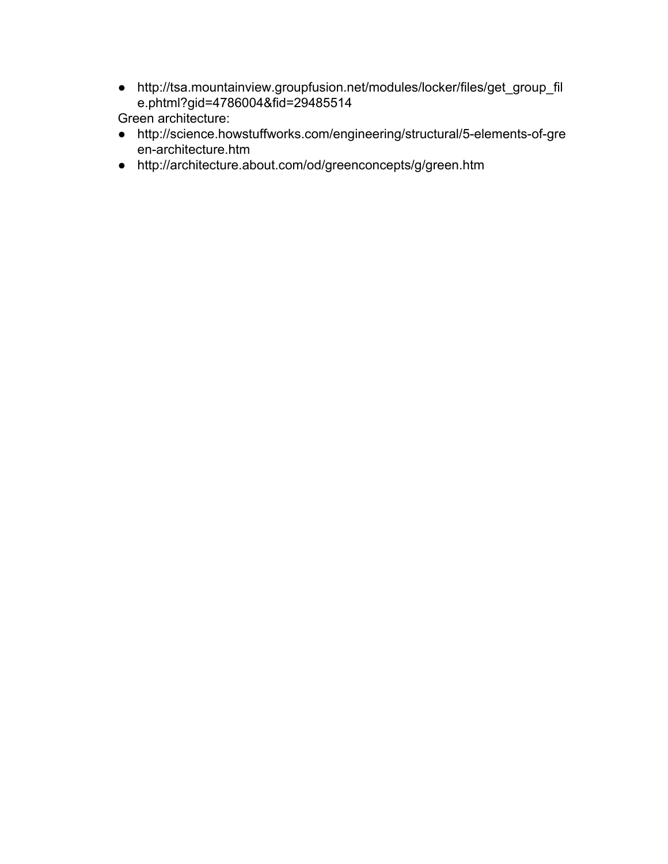● http://tsa.mountainview.groupfusion.net/modules/locker/files/get\_group\_fil e.phtml?gid=4786004&fid=29485514

Green architecture:

- http://science.howstuffworks.com/engineering/structural/5-elements-of-gre en-architecture.htm
- http://architecture.about.com/od/greenconcepts/g/green.htm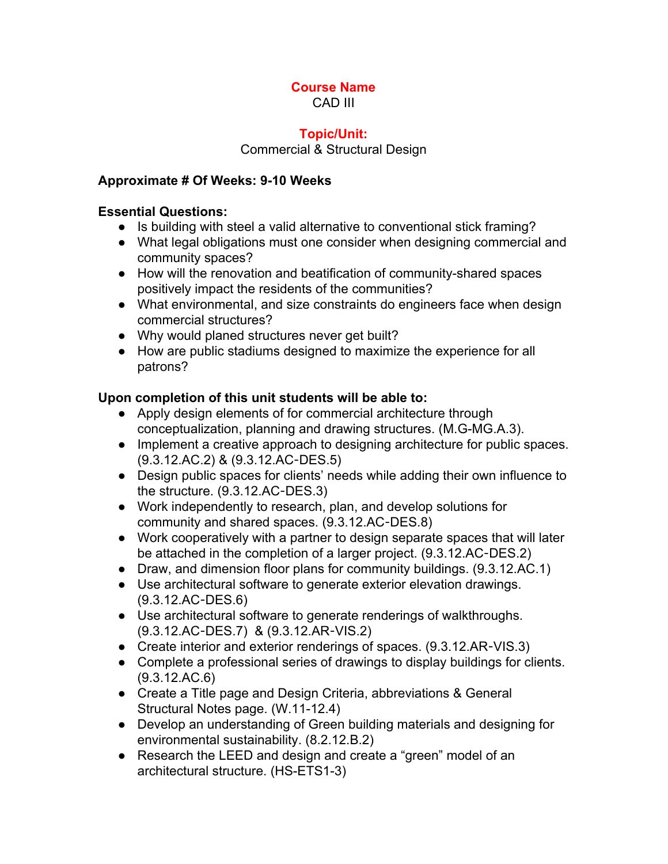#### **Course Name** CAD III

#### **Topic/Unit:**

Commercial & Structural Design

#### **Approximate # Of Weeks: 910 Weeks**

#### **Essential Questions:**

- Is building with steel a valid alternative to conventional stick framing?
- What legal obligations must one consider when designing commercial and community spaces?
- How will the renovation and beatification of community-shared spaces positively impact the residents of the communities?
- What environmental, and size constraints do engineers face when design commercial structures?
- Why would planed structures never get built?
- How are public stadiums designed to maximize the experience for all patrons?

#### **Upon completion of this unit students will be able to:**

- Apply design elements of for commercial architecture through conceptualization, planning and drawing structures. (M.G-MG.A.3).
- Implement a creative approach to designing architecture for public spaces. (9.3.12.AC.2) & (9.3.12.AC‐DES.5)
- Design public spaces for clients' needs while adding their own influence to the structure. (9.3.12.AC‐DES.3)
- Work independently to research, plan, and develop solutions for community and shared spaces. (9.3.12.AC‐DES.8)
- Work cooperatively with a partner to design separate spaces that will later be attached in the completion of a larger project. (9.3.12.AC‐DES.2)
- Draw, and dimension floor plans for community buildings. (9.3.12.AC.1)
- Use architectural software to generate exterior elevation drawings. (9.3.12.AC‐DES.6)
- Use architectural software to generate renderings of walkthroughs. (9.3.12.AC‐DES.7) & (9.3.12.AR‐VIS.2)
- Create interior and exterior renderings of spaces. (9.3.12.AR-VIS.3)
- Complete a professional series of drawings to display buildings for clients. (9.3.12.AC.6)
- Create a Title page and Design Criteria, abbreviations & General Structural Notes page. (W.11-12.4)
- Develop an understanding of Green building materials and designing for environmental sustainability. (8.2.12.B.2)
- Research the LEED and design and create a "green" model of an architectural structure. (HS-ETS1-3)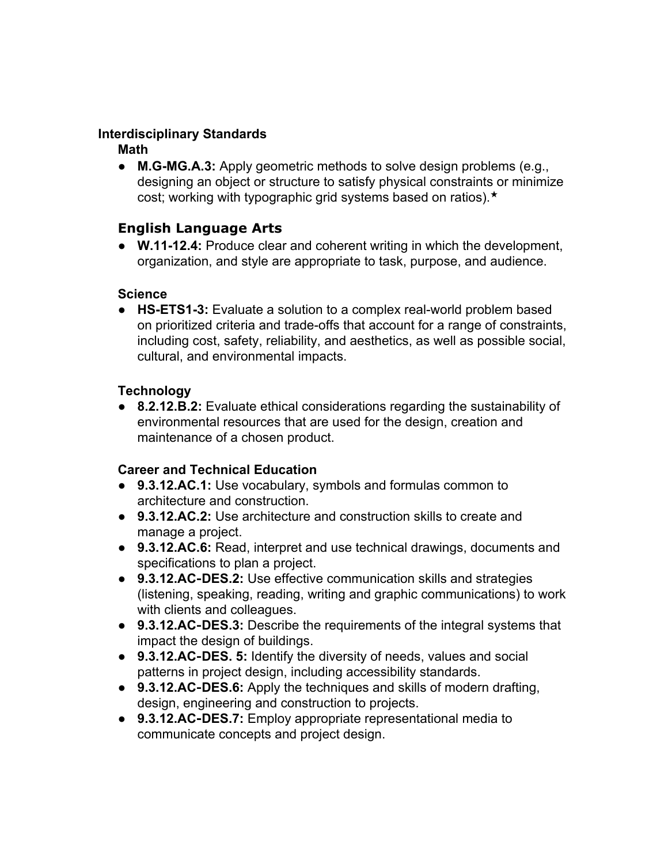### **Interdisciplinary Standards**

**Math**

• **M.G-MG.A.3:** Apply geometric methods to solve design problems (e.g., designing an object or structure to satisfy physical constraints or minimize cost; working with typographic grid systems based on ratios).★

# **English Language Arts**

● **W.1112.4:** Produce clear and coherent writing in which the development, organization, and style are appropriate to task, purpose, and audience.

#### **Science**

● **HS-ETS1-3:** Evaluate a solution to a complex real-world problem based on prioritized criteria and trade-offs that account for a range of constraints, including cost, safety, reliability, and aesthetics, as well as possible social, cultural, and environmental impacts.

#### **Technology**

● **8.2.12.B.2:** Evaluate ethical considerations regarding the sustainability of environmental resources that are used for the design, creation and maintenance of a chosen product.

### **Career and Technical Education**

- **9.3.12.AC.1:** Use vocabulary, symbols and formulas common to architecture and construction.
- **9.3.12.AC.2:** Use architecture and construction skills to create and manage a project.
- **9.3.12.AC.6:** Read, interpret and use technical drawings, documents and specifications to plan a project.
- 9.3.12.AC-DES.2: Use effective communication skills and strategies (listening, speaking, reading, writing and graphic communications) to work with clients and colleagues.
- **9.3.12.AC**‐**DES.3:** Describe the requirements of the integral systems that impact the design of buildings.
- **9.3.12.AC**‐**DES. 5:** Identify the diversity of needs, values and social patterns in project design, including accessibility standards.
- **9.3.12.AC**‐**DES.6:** Apply the techniques and skills of modern drafting, design, engineering and construction to projects.
- **9.3.12.AC**‐**DES.7:** Employ appropriate representational media to communicate concepts and project design.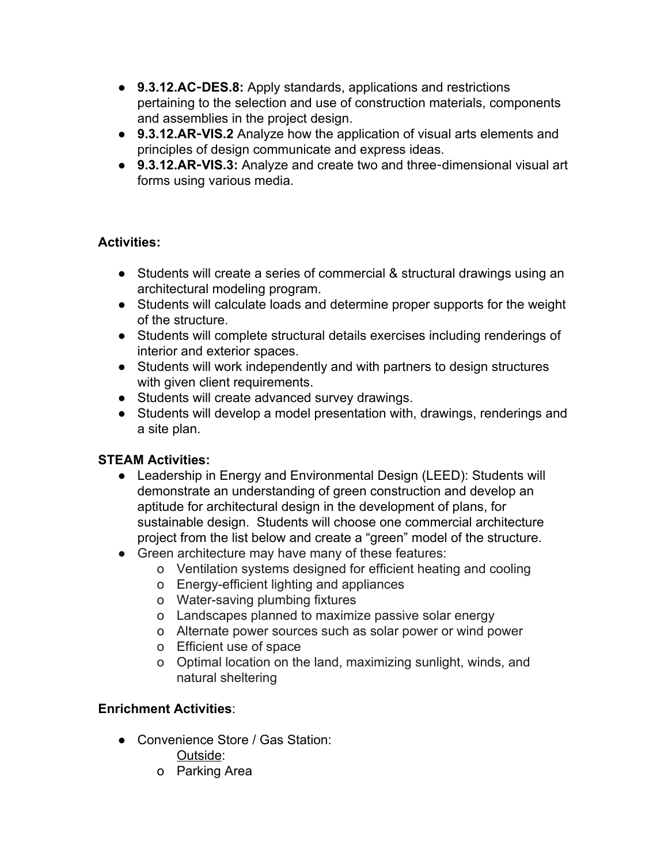- **9.3.12.AC**‐**DES.8:** Apply standards, applications and restrictions pertaining to the selection and use of construction materials, components and assemblies in the project design.
- **9.3.12.AR**‐**VIS.2** Analyze how the application of visual arts elements and principles of design communicate and express ideas.
- **9.3.12.AR**‐**VIS.3:** Analyze and create two and three‐dimensional visual art forms using various media.

# **Activities:**

- Students will create a series of commercial & structural drawings using an architectural modeling program.
- Students will calculate loads and determine proper supports for the weight of the structure.
- Students will complete structural details exercises including renderings of interior and exterior spaces.
- Students will work independently and with partners to design structures with given client requirements.
- Students will create advanced survey drawings.
- Students will develop a model presentation with, drawings, renderings and a site plan.

# **STEAM Activities:**

- Leadership in Energy and Environmental Design (LEED): Students will demonstrate an understanding of green construction and develop an aptitude for architectural design in the development of plans, for sustainable design. Students will choose one commercial architecture project from the list below and create a "green" model of the structure.
- Green architecture may have many of these features:
	- o Ventilation systems designed for efficient heating and cooling
	- o Energy-efficient lighting and appliances
	- o Water-saving plumbing fixtures
	- o Landscapes planned to maximize passive solar energy
	- o Alternate power sources such as solar power or wind power
	- o Efficient use of space
	- o Optimal location on the land, maximizing sunlight, winds, and natural sheltering

# **Enrichment Activities**:

- Convenience Store / Gas Station:
	- Outside:
	- o Parking Area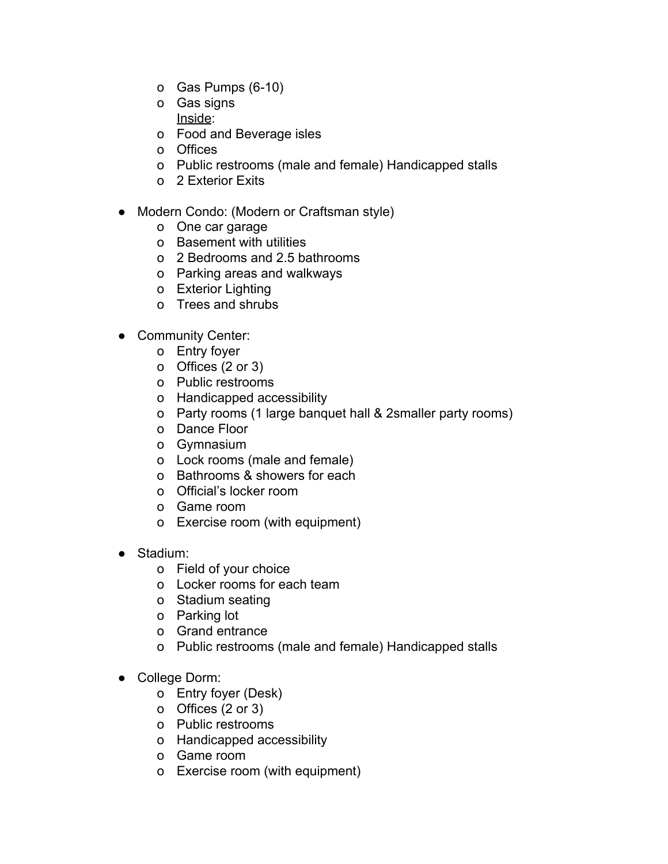- o Gas Pumps  $(6-10)$
- o Gas signs Inside:
- o Food and Beverage isles
- o Offices
- o Public restrooms (male and female) Handicapped stalls
- o 2 Exterior Exits
- Modern Condo: (Modern or Craftsman style)
	- o One car garage
	- o Basement with utilities
	- o 2 Bedrooms and 2.5 bathrooms
	- o Parking areas and walkways
	- o Exterior Lighting
	- o Trees and shrubs
- Community Center:
	- o Entry foyer
	- o Offices (2 or 3)
	- o Public restrooms
	- o Handicapped accessibility
	- o Party rooms (1 large banquet hall & 2smaller party rooms)
	- o Dance Floor
	- o Gymnasium
	- o Lock rooms (male and female)
	- o Bathrooms & showers for each
	- o Official's locker room
	- o Game room
	- o Exercise room (with equipment)
- Stadium:
	- o Field of your choice
	- o Locker rooms for each team
	- o Stadium seating
	- o Parking lot
	- o Grand entrance
	- o Public restrooms (male and female) Handicapped stalls
- College Dorm:
	- o Entry foyer (Desk)
	- o Offices (2 or 3)
	- o Public restrooms
	- o Handicapped accessibility
	- o Game room
	- o Exercise room (with equipment)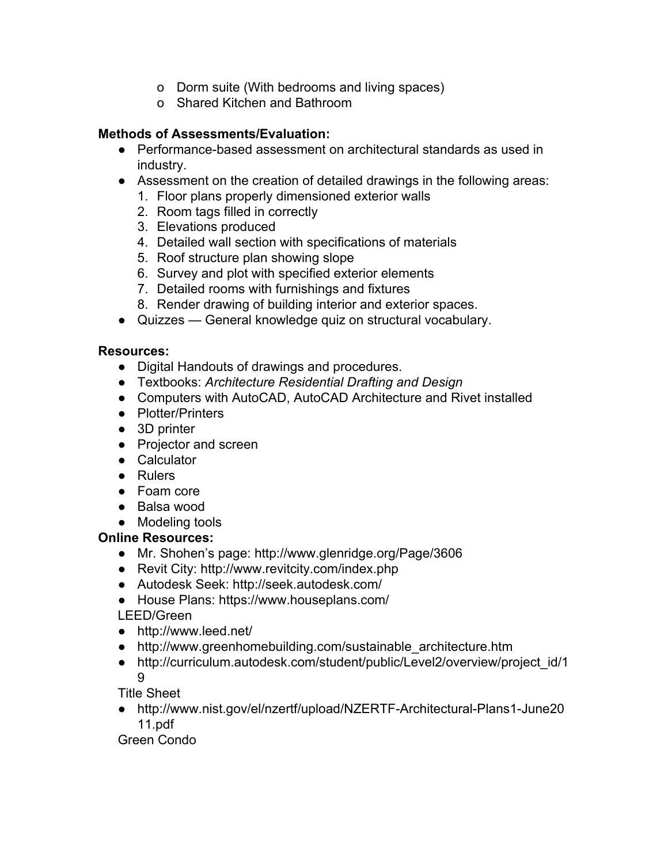- o Dorm suite (With bedrooms and living spaces)
- o Shared Kitchen and Bathroom

#### **Methods of Assessments/Evaluation:**

- $\bullet$  Performance-based assessment on architectural standards as used in industry.
- Assessment on the creation of detailed drawings in the following areas:
	- 1. Floor plans properly dimensioned exterior walls
	- 2. Room tags filled in correctly
	- 3. Elevations produced
	- 4. Detailed wall section with specifications of materials
	- 5. Roof structure plan showing slope
	- 6. Survey and plot with specified exterior elements
	- 7. Detailed rooms with furnishings and fixtures
	- 8. Render drawing of building interior and exterior spaces.
- Quizzes General knowledge quiz on structural vocabulary.

#### **Resources:**

- **●** Digital Handouts of drawings and procedures.
- **●** Textbooks: *Architecture Residential Drafting and Design*
- **●** Computers with AutoCAD, AutoCAD Architecture and Rivet installed
- **●** Plotter/Printers
- **●** 3D printer
- **●** Projector and screen
- **●** Calculator
- **●** Rulers
- **●** Foam core
- **●** Balsa wood
- **●** Modeling tools

#### **Online Resources:**

- Mr. Shohen's page: http://www.glenridge.org/Page/3606
- Revit City: http://www.revitcity.com/index.php
- Autodesk Seek: http://seek.autodesk.com/
- **●** House Plans: https://www.houseplans.com/

LEED/Green

- http://www.leed.net/
- http://www.greenhomebuilding.com/sustainable\_architecture.htm
- http://curriculum.autodesk.com/student/public/Level2/overview/project\_id/1 9

Title Sheet

• http://www.nist.gov/el/nzertf/upload/NZERTF-Architectural-Plans1-June20 11.pdf

Green Condo